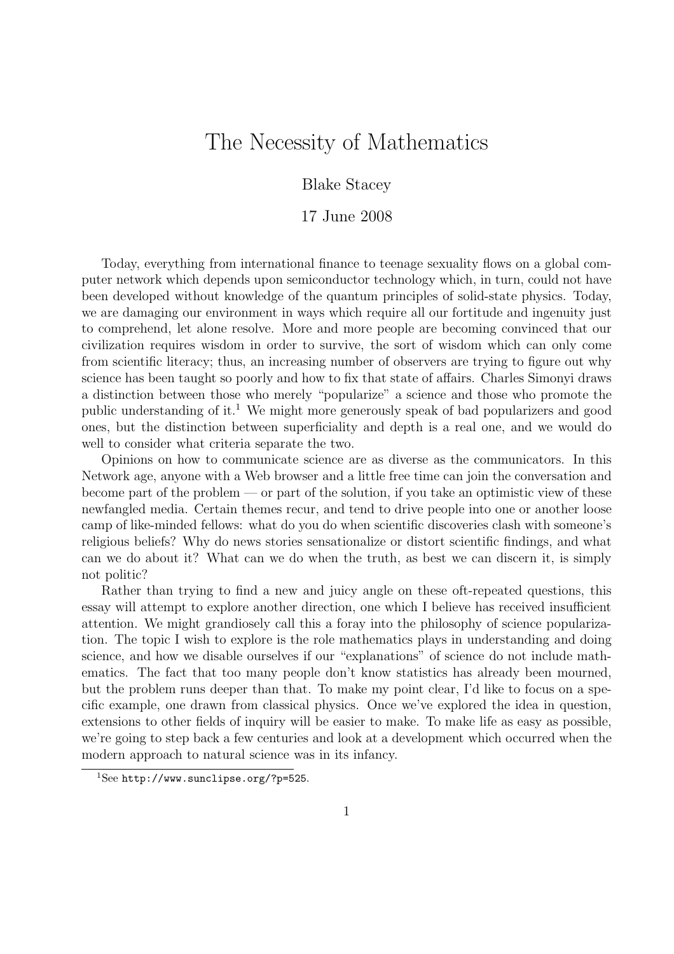# The Necessity of Mathematics

Blake Stacey

#### 17 June 2008

Today, everything from international finance to teenage sexuality flows on a global computer network which depends upon semiconductor technology which, in turn, could not have been developed without knowledge of the quantum principles of solid-state physics. Today, we are damaging our environment in ways which require all our fortitude and ingenuity just to comprehend, let alone resolve. More and more people are becoming convinced that our civilization requires wisdom in order to survive, the sort of wisdom which can only come from scientific literacy; thus, an increasing number of observers are trying to figure out why science has been taught so poorly and how to fix that state of affairs. Charles Simonyi draws a distinction between those who merely "popularize" a science and those who promote the public understanding of it.<sup>1</sup> We might more generously speak of bad popularizers and good ones, but the distinction between superficiality and depth is a real one, and we would do well to consider what criteria separate the two.

Opinions on how to communicate science are as diverse as the communicators. In this Network age, anyone with a Web browser and a little free time can join the conversation and become part of the problem — or part of the solution, if you take an optimistic view of these newfangled media. Certain themes recur, and tend to drive people into one or another loose camp of like-minded fellows: what do you do when scientific discoveries clash with someone's religious beliefs? Why do news stories sensationalize or distort scientific findings, and what can we do about it? What can we do when the truth, as best we can discern it, is simply not politic?

Rather than trying to find a new and juicy angle on these oft-repeated questions, this essay will attempt to explore another direction, one which I believe has received insufficient attention. We might grandiosely call this a foray into the philosophy of science popularization. The topic I wish to explore is the role mathematics plays in understanding and doing science, and how we disable ourselves if our "explanations" of science do not include mathematics. The fact that too many people don't know statistics has already been mourned, but the problem runs deeper than that. To make my point clear, I'd like to focus on a specific example, one drawn from classical physics. Once we've explored the idea in question, extensions to other fields of inquiry will be easier to make. To make life as easy as possible, we're going to step back a few centuries and look at a development which occurred when the modern approach to natural science was in its infancy.

<sup>1</sup>See http://www.sunclipse.org/?p=525.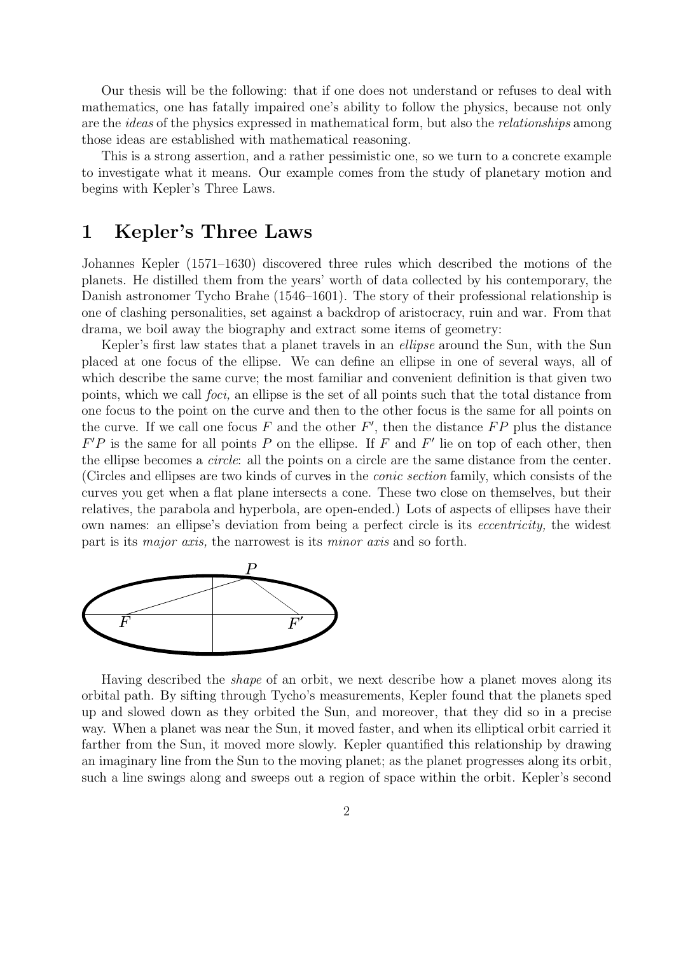Our thesis will be the following: that if one does not understand or refuses to deal with mathematics, one has fatally impaired one's ability to follow the physics, because not only are the ideas of the physics expressed in mathematical form, but also the relationships among those ideas are established with mathematical reasoning.

This is a strong assertion, and a rather pessimistic one, so we turn to a concrete example to investigate what it means. Our example comes from the study of planetary motion and begins with Kepler's Three Laws.

#### 1 Kepler's Three Laws

Johannes Kepler (1571–1630) discovered three rules which described the motions of the planets. He distilled them from the years' worth of data collected by his contemporary, the Danish astronomer Tycho Brahe (1546–1601). The story of their professional relationship is one of clashing personalities, set against a backdrop of aristocracy, ruin and war. From that drama, we boil away the biography and extract some items of geometry:

Kepler's first law states that a planet travels in an ellipse around the Sun, with the Sun placed at one focus of the ellipse. We can define an ellipse in one of several ways, all of which describe the same curve; the most familiar and convenient definition is that given two points, which we call foci, an ellipse is the set of all points such that the total distance from one focus to the point on the curve and then to the other focus is the same for all points on the curve. If we call one focus  $F$  and the other  $F'$ , then the distance  $FP$  plus the distance  $F'P$  is the same for all points P on the ellipse. If F and F' lie on top of each other, then the ellipse becomes a circle: all the points on a circle are the same distance from the center. (Circles and ellipses are two kinds of curves in the conic section family, which consists of the curves you get when a flat plane intersects a cone. These two close on themselves, but their relatives, the parabola and hyperbola, are open-ended.) Lots of aspects of ellipses have their own names: an ellipse's deviation from being a perfect circle is its eccentricity, the widest part is its major axis, the narrowest is its minor axis and so forth.



Having described the shape of an orbit, we next describe how a planet moves along its orbital path. By sifting through Tycho's measurements, Kepler found that the planets sped up and slowed down as they orbited the Sun, and moreover, that they did so in a precise way. When a planet was near the Sun, it moved faster, and when its elliptical orbit carried it farther from the Sun, it moved more slowly. Kepler quantified this relationship by drawing an imaginary line from the Sun to the moving planet; as the planet progresses along its orbit, such a line swings along and sweeps out a region of space within the orbit. Kepler's second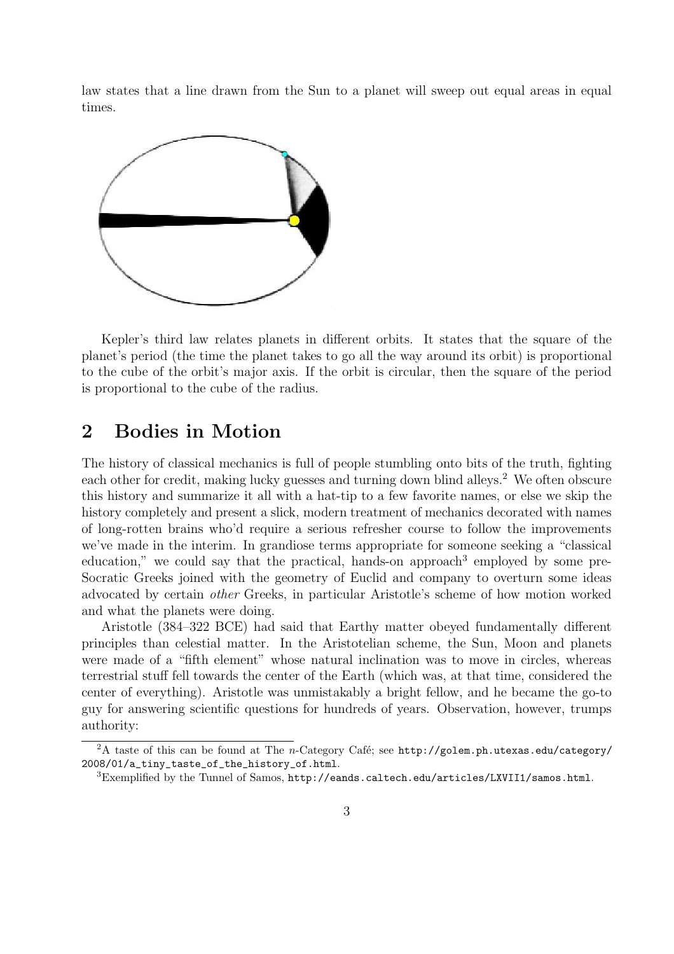law states that a line drawn from the Sun to a planet will sweep out equal areas in equal times.



Kepler's third law relates planets in different orbits. It states that the square of the planet's period (the time the planet takes to go all the way around its orbit) is proportional to the cube of the orbit's major axis. If the orbit is circular, then the square of the period is proportional to the cube of the radius.

# 2 Bodies in Motion

The history of classical mechanics is full of people stumbling onto bits of the truth, fighting each other for credit, making lucky guesses and turning down blind alleys.<sup>2</sup> We often obscure this history and summarize it all with a hat-tip to a few favorite names, or else we skip the history completely and present a slick, modern treatment of mechanics decorated with names of long-rotten brains who'd require a serious refresher course to follow the improvements we've made in the interim. In grandiose terms appropriate for someone seeking a "classical education," we could say that the practical, hands-on approach<sup>3</sup> employed by some pre-Socratic Greeks joined with the geometry of Euclid and company to overturn some ideas advocated by certain other Greeks, in particular Aristotle's scheme of how motion worked and what the planets were doing.

Aristotle (384–322 BCE) had said that Earthy matter obeyed fundamentally different principles than celestial matter. In the Aristotelian scheme, the Sun, Moon and planets were made of a "fifth element" whose natural inclination was to move in circles, whereas terrestrial stuff fell towards the center of the Earth (which was, at that time, considered the center of everything). Aristotle was unmistakably a bright fellow, and he became the go-to guy for answering scientific questions for hundreds of years. Observation, however, trumps authority:

<sup>&</sup>lt;sup>2</sup>A taste of this can be found at The *n*-Category Café; see http://golem.ph.utexas.edu/category/ 2008/01/a tiny taste of the history of.html.

<sup>3</sup>Exemplified by the Tunnel of Samos, http://eands.caltech.edu/articles/LXVII1/samos.html.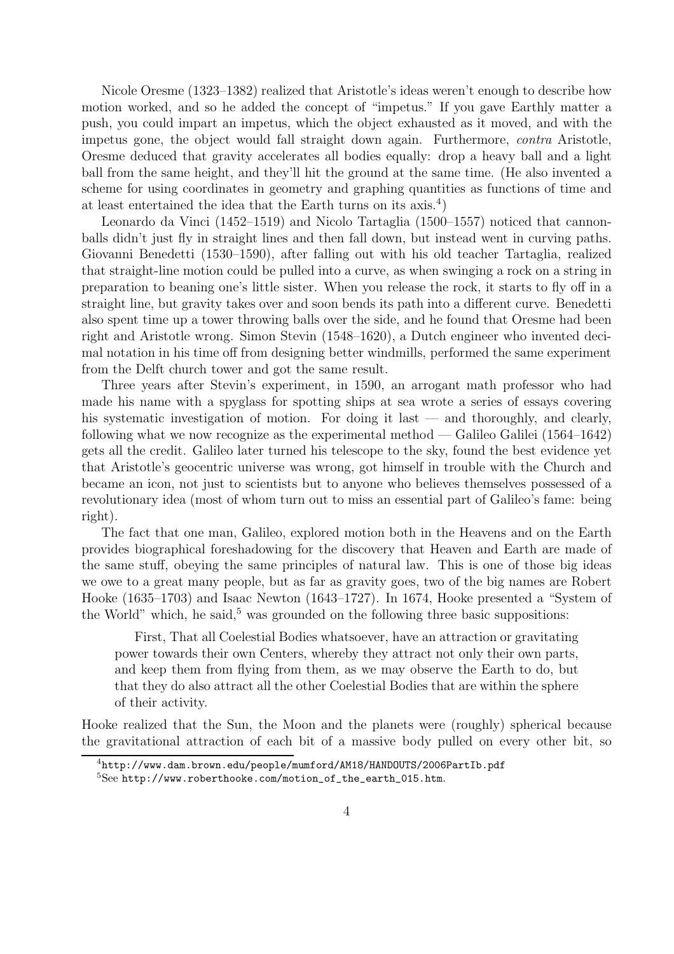Nicole Oresme (1323–1382) realized that Aristotle's ideas weren't enough to describe how motion worked, and so he added the concept of "impetus." If you gave Earthly matter a push, you could impart an impetus, which the object exhausted as it moved, and with the impetus gone, the object would fall straight down again. Furthermore, contra Aristotle, Oresme deduced that gravity accelerates all bodies equally: drop a heavy ball and a light ball from the same height, and they'll hit the ground at the same time. (He also invented a scheme for using coordinates in geometry and graphing quantities as functions of time and at least entertained the idea that the Earth turns on its  $axis.<sup>4</sup>$ )

Leonardo da Vinci (1452–1519) and Nicolo Tartaglia (1500–1557) noticed that cannonballs didn't just fly in straight lines and then fall down, but instead went in curving paths. Giovanni Benedetti (1530–1590), after falling out with his old teacher Tartaglia, realized that straight-line motion could be pulled into a curve, as when swinging a rock on a string in preparation to beaning one's little sister. When you release the rock, it starts to fly off in a straight line, but gravity takes over and soon bends its path into a different curve. Benedetti also spent time up a tower throwing balls over the side, and he found that Oresme had been right and Aristotle wrong. Simon Stevin (1548–1620), a Dutch engineer who invented decimal notation in his time off from designing better windmills, performed the same experiment from the Delft church tower and got the same result.

Three years after Stevin's experiment, in 1590, an arrogant math professor who had made his name with a spyglass for spotting ships at sea wrote a series of essays covering his systematic investigation of motion. For doing it last — and thoroughly, and clearly, following what we now recognize as the experimental method — Galileo Galilei (1564–1642) gets all the credit. Galileo later turned his telescope to the sky, found the best evidence yet that Aristotle's geocentric universe was wrong, got himself in trouble with the Church and became an icon, not just to scientists but to anyone who believes themselves possessed of a revolutionary idea (most of whom turn out to miss an essential part of Galileo's fame: being right).

The fact that one man, Galileo, explored motion both in the Heavens and on the Earth provides biographical foreshadowing for the discovery that Heaven and Earth are made of the same stuff, obeying the same principles of natural law. This is one of those big ideas we owe to a great many people, but as far as gravity goes, two of the big names are Robert Hooke (1635–1703) and Isaac Newton (1643–1727). In 1674, Hooke presented a "System of the World" which, he said, $5$  was grounded on the following three basic suppositions:

First, That all Coelestial Bodies whatsoever, have an attraction or gravitating power towards their own Centers, whereby they attract not only their own parts, and keep them from flying from them, as we may observe the Earth to do, but that they do also attract all the other Coelestial Bodies that are within the sphere of their activity.

Hooke realized that the Sun, the Moon and the planets were (roughly) spherical because the gravitational attraction of each bit of a massive body pulled on every other bit, so

<sup>4</sup>http://www.dam.brown.edu/people/mumford/AM18/HANDOUTS/2006PartIb.pdf <sup>5</sup>See http://www.roberthooke.com/motion\_of\_the\_earth\_015.htm.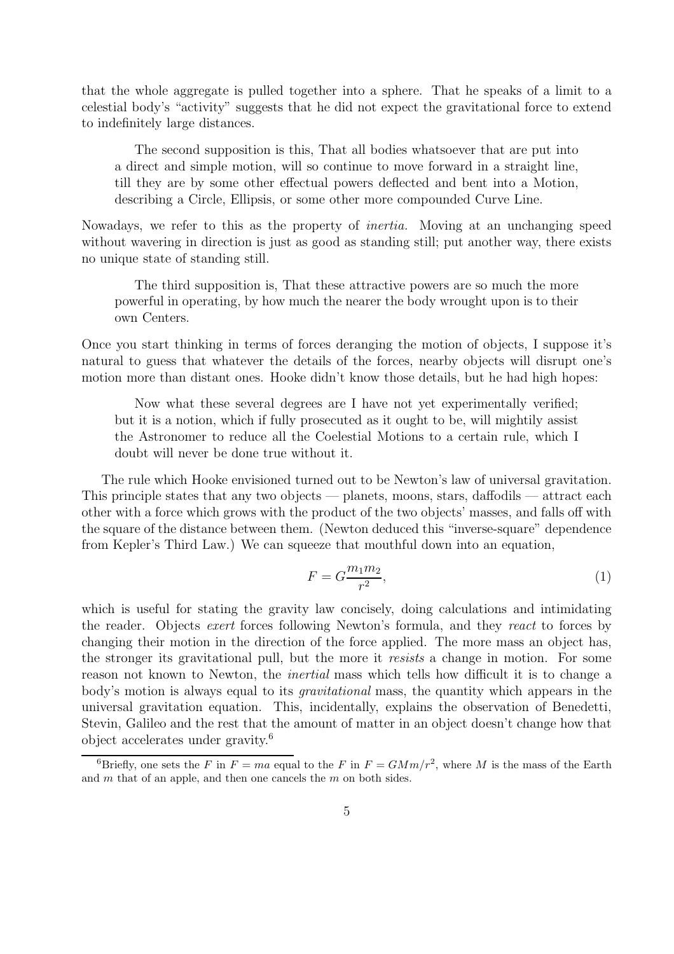that the whole aggregate is pulled together into a sphere. That he speaks of a limit to a celestial body's "activity" suggests that he did not expect the gravitational force to extend to indefinitely large distances.

The second supposition is this, That all bodies whatsoever that are put into a direct and simple motion, will so continue to move forward in a straight line, till they are by some other effectual powers deflected and bent into a Motion, describing a Circle, Ellipsis, or some other more compounded Curve Line.

Nowadays, we refer to this as the property of inertia. Moving at an unchanging speed without wavering in direction is just as good as standing still; put another way, there exists no unique state of standing still.

The third supposition is, That these attractive powers are so much the more powerful in operating, by how much the nearer the body wrought upon is to their own Centers.

Once you start thinking in terms of forces deranging the motion of objects, I suppose it's natural to guess that whatever the details of the forces, nearby objects will disrupt one's motion more than distant ones. Hooke didn't know those details, but he had high hopes:

Now what these several degrees are I have not yet experimentally verified; but it is a notion, which if fully prosecuted as it ought to be, will mightily assist the Astronomer to reduce all the Coelestial Motions to a certain rule, which I doubt will never be done true without it.

The rule which Hooke envisioned turned out to be Newton's law of universal gravitation. This principle states that any two objects — planets, moons, stars, daffodils — attract each other with a force which grows with the product of the two objects' masses, and falls off with the square of the distance between them. (Newton deduced this "inverse-square" dependence from Kepler's Third Law.) We can squeeze that mouthful down into an equation,

$$
F = G \frac{m_1 m_2}{r^2},\tag{1}
$$

which is useful for stating the gravity law concisely, doing calculations and intimidating the reader. Objects exert forces following Newton's formula, and they react to forces by changing their motion in the direction of the force applied. The more mass an object has, the stronger its gravitational pull, but the more it resists a change in motion. For some reason not known to Newton, the inertial mass which tells how difficult it is to change a body's motion is always equal to its gravitational mass, the quantity which appears in the universal gravitation equation. This, incidentally, explains the observation of Benedetti, Stevin, Galileo and the rest that the amount of matter in an object doesn't change how that object accelerates under gravity.<sup>6</sup>

<sup>&</sup>lt;sup>6</sup>Briefly, one sets the F in  $F = ma$  equal to the F in  $F = GMm/r^2$ , where M is the mass of the Earth and m that of an apple, and then one cancels the m on both sides.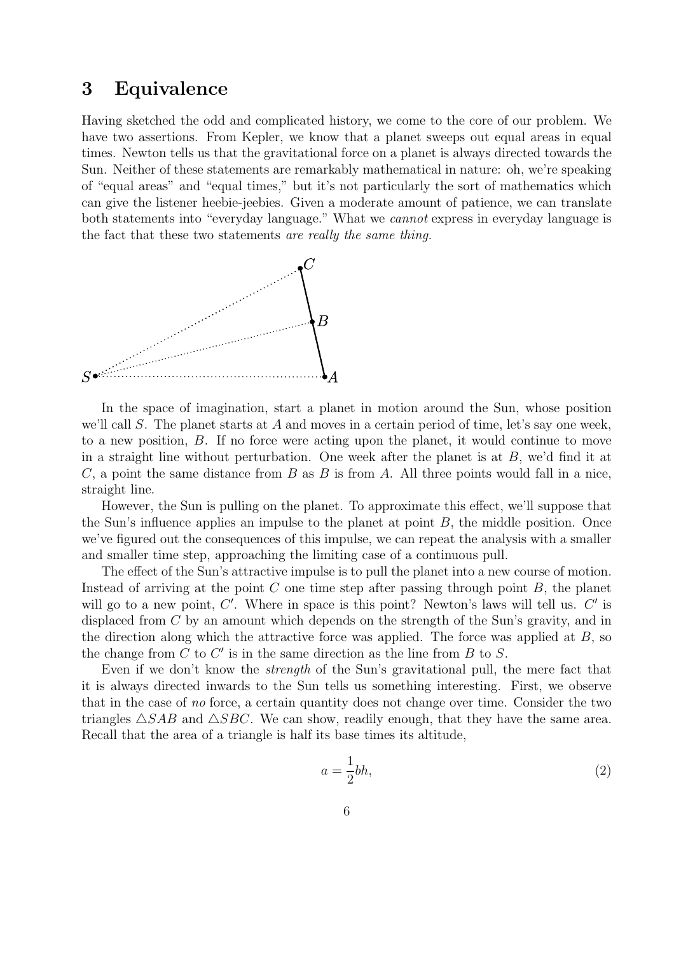# 3 Equivalence

Having sketched the odd and complicated history, we come to the core of our problem. We have two assertions. From Kepler, we know that a planet sweeps out equal areas in equal times. Newton tells us that the gravitational force on a planet is always directed towards the Sun. Neither of these statements are remarkably mathematical in nature: oh, we're speaking of "equal areas" and "equal times," but it's not particularly the sort of mathematics which can give the listener heebie-jeebies. Given a moderate amount of patience, we can translate both statements into "everyday language." What we cannot express in everyday language is the fact that these two statements are really the same thing.



In the space of imagination, start a planet in motion around the Sun, whose position we'll call S. The planet starts at A and moves in a certain period of time, let's say one week, to a new position, B. If no force were acting upon the planet, it would continue to move in a straight line without perturbation. One week after the planet is at  $B$ , we'd find it at C, a point the same distance from B as B is from A. All three points would fall in a nice, straight line.

However, the Sun is pulling on the planet. To approximate this effect, we'll suppose that the Sun's influence applies an impulse to the planet at point  $B$ , the middle position. Once we've figured out the consequences of this impulse, we can repeat the analysis with a smaller and smaller time step, approaching the limiting case of a continuous pull.

The effect of the Sun's attractive impulse is to pull the planet into a new course of motion. Instead of arriving at the point  $C$  one time step after passing through point  $B$ , the planet will go to a new point,  $C'$ . Where in space is this point? Newton's laws will tell us.  $C'$  is displaced from C by an amount which depends on the strength of the Sun's gravity, and in the direction along which the attractive force was applied. The force was applied at B, so the change from  $\tilde{C}$  to  $C'$  is in the same direction as the line from  $B$  to  $S$ .

Even if we don't know the strength of the Sun's gravitational pull, the mere fact that it is always directed inwards to the Sun tells us something interesting. First, we observe that in the case of no force, a certain quantity does not change over time. Consider the two triangles  $\triangle SAB$  and  $\triangle SBC$ . We can show, readily enough, that they have the same area. Recall that the area of a triangle is half its base times its altitude,

$$
a = \frac{1}{2}bh,\tag{2}
$$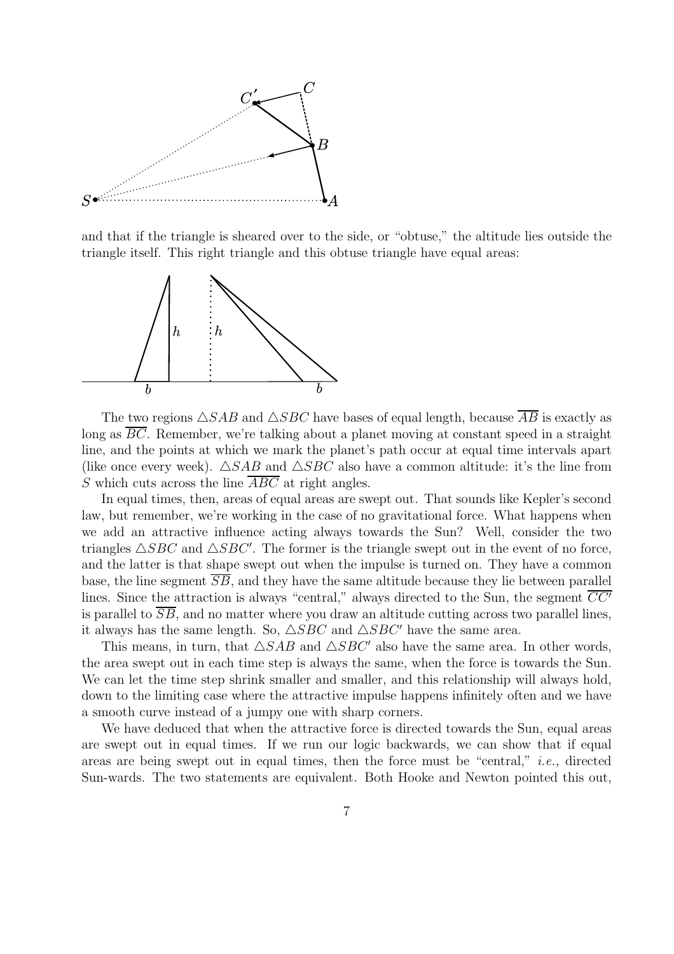

and that if the triangle is sheared over to the side, or "obtuse," the altitude lies outside the triangle itself. This right triangle and this obtuse triangle have equal areas:



The two regions  $\triangle SAB$  and  $\triangle SBC$  have bases of equal length, because  $\overline{AB}$  is exactly as long as BC. Remember, we're talking about a planet moving at constant speed in a straight line, and the points at which we mark the planet's path occur at equal time intervals apart (like once every week).  $\triangle SAB$  and  $\triangle SBC$  also have a common altitude: it's the line from S which cuts across the line  $\overline{ABC}$  at right angles.

In equal times, then, areas of equal areas are swept out. That sounds like Kepler's second law, but remember, we're working in the case of no gravitational force. What happens when we add an attractive influence acting always towards the Sun? Well, consider the two triangles  $\triangle SBC$  and  $\triangle SBC'$ . The former is the triangle swept out in the event of no force, and the latter is that shape swept out when the impulse is turned on. They have a common base, the line segment  $\overline{SB}$ , and they have the same altitude because they lie between parallel lines. Since the attraction is always "central," always directed to the Sun, the segment  $CC'$ is parallel to  $\overline{SB}$ , and no matter where you draw an altitude cutting across two parallel lines, it always has the same length. So,  $\triangle SBC$  and  $\triangle SBC'$  have the same area.

This means, in turn, that  $\triangle SAB$  and  $\triangle SBC'$  also have the same area. In other words, the area swept out in each time step is always the same, when the force is towards the Sun. We can let the time step shrink smaller and smaller, and this relationship will always hold, down to the limiting case where the attractive impulse happens infinitely often and we have a smooth curve instead of a jumpy one with sharp corners.

We have deduced that when the attractive force is directed towards the Sun, equal areas are swept out in equal times. If we run our logic backwards, we can show that if equal areas are being swept out in equal times, then the force must be "central," i.e., directed Sun-wards. The two statements are equivalent. Both Hooke and Newton pointed this out,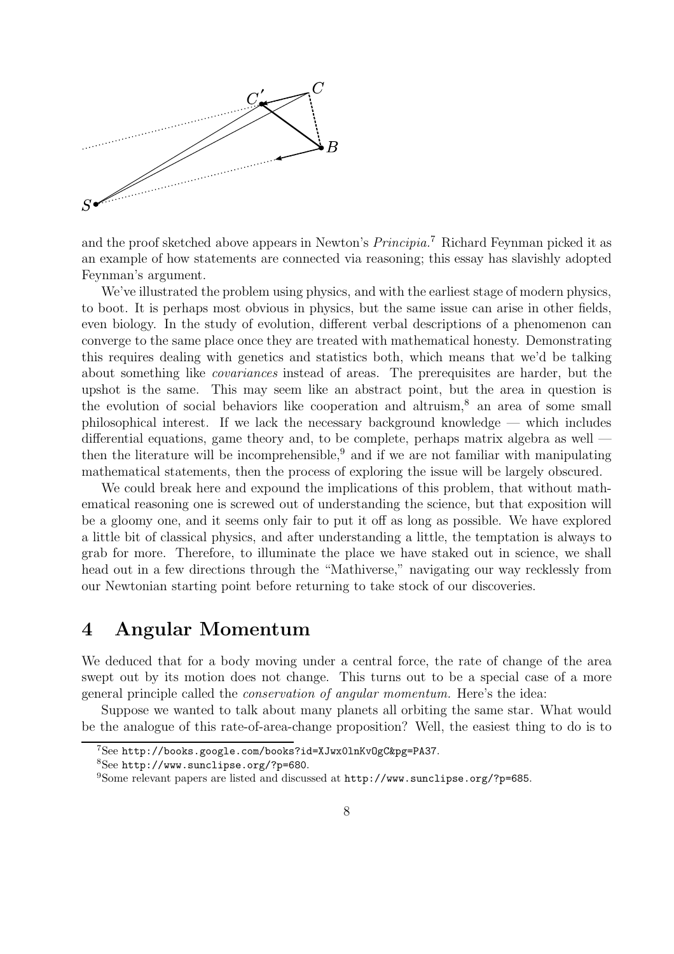

and the proof sketched above appears in Newton's Principia.<sup>7</sup> Richard Feynman picked it as an example of how statements are connected via reasoning; this essay has slavishly adopted Feynman's argument.

We've illustrated the problem using physics, and with the earliest stage of modern physics, to boot. It is perhaps most obvious in physics, but the same issue can arise in other fields, even biology. In the study of evolution, different verbal descriptions of a phenomenon can converge to the same place once they are treated with mathematical honesty. Demonstrating this requires dealing with genetics and statistics both, which means that we'd be talking about something like covariances instead of areas. The prerequisites are harder, but the upshot is the same. This may seem like an abstract point, but the area in question is the evolution of social behaviors like cooperation and altruism,<sup>8</sup> an area of some small philosophical interest. If we lack the necessary background knowledge — which includes differential equations, game theory and, to be complete, perhaps matrix algebra as well then the literature will be incomprehensible, $9$  and if we are not familiar with manipulating mathematical statements, then the process of exploring the issue will be largely obscured.

We could break here and expound the implications of this problem, that without mathematical reasoning one is screwed out of understanding the science, but that exposition will be a gloomy one, and it seems only fair to put it off as long as possible. We have explored a little bit of classical physics, and after understanding a little, the temptation is always to grab for more. Therefore, to illuminate the place we have staked out in science, we shall head out in a few directions through the "Mathiverse," navigating our way recklessly from our Newtonian starting point before returning to take stock of our discoveries.

### 4 Angular Momentum

We deduced that for a body moving under a central force, the rate of change of the area swept out by its motion does not change. This turns out to be a special case of a more general principle called the conservation of angular momentum. Here's the idea:

Suppose we wanted to talk about many planets all orbiting the same star. What would be the analogue of this rate-of-area-change proposition? Well, the easiest thing to do is to

<sup>7</sup>See http://books.google.com/books?id=XJwx0lnKvOgC&pg=PA37.

<sup>8</sup>See http://www.sunclipse.org/?p=680.

<sup>9</sup>Some relevant papers are listed and discussed at http://www.sunclipse.org/?p=685.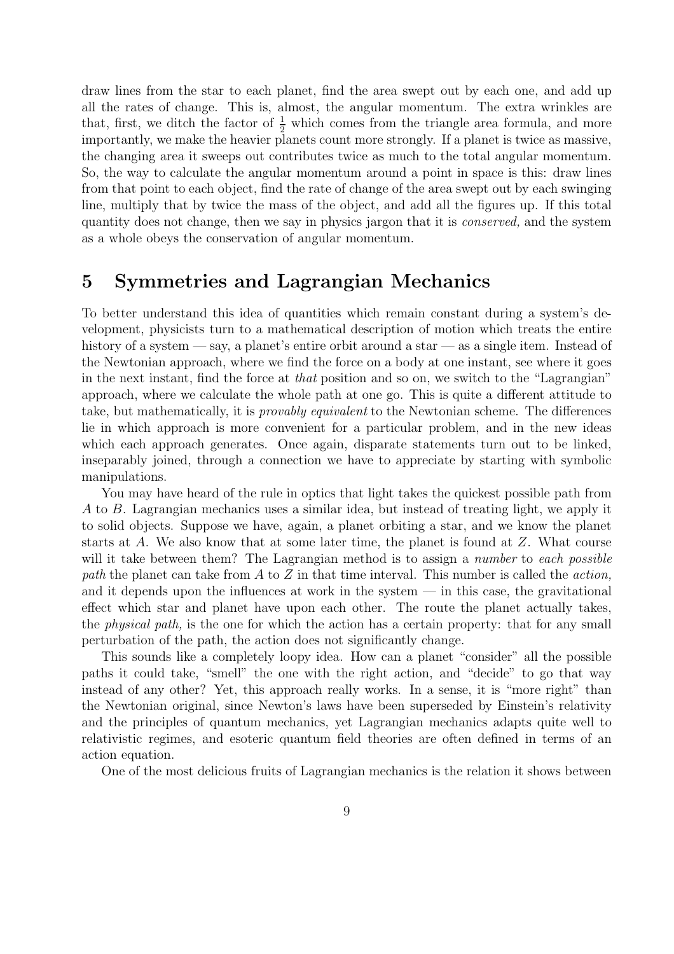draw lines from the star to each planet, find the area swept out by each one, and add up all the rates of change. This is, almost, the angular momentum. The extra wrinkles are that, first, we ditch the factor of  $\frac{1}{2}$  which comes from the triangle area formula, and more importantly, we make the heavier planets count more strongly. If a planet is twice as massive, the changing area it sweeps out contributes twice as much to the total angular momentum. So, the way to calculate the angular momentum around a point in space is this: draw lines from that point to each object, find the rate of change of the area swept out by each swinging line, multiply that by twice the mass of the object, and add all the figures up. If this total quantity does not change, then we say in physics jargon that it is conserved, and the system as a whole obeys the conservation of angular momentum.

#### 5 Symmetries and Lagrangian Mechanics

To better understand this idea of quantities which remain constant during a system's development, physicists turn to a mathematical description of motion which treats the entire history of a system — say, a planet's entire orbit around a star — as a single item. Instead of the Newtonian approach, where we find the force on a body at one instant, see where it goes in the next instant, find the force at that position and so on, we switch to the "Lagrangian" approach, where we calculate the whole path at one go. This is quite a different attitude to take, but mathematically, it is provably equivalent to the Newtonian scheme. The differences lie in which approach is more convenient for a particular problem, and in the new ideas which each approach generates. Once again, disparate statements turn out to be linked, inseparably joined, through a connection we have to appreciate by starting with symbolic manipulations.

You may have heard of the rule in optics that light takes the quickest possible path from A to B. Lagrangian mechanics uses a similar idea, but instead of treating light, we apply it to solid objects. Suppose we have, again, a planet orbiting a star, and we know the planet starts at A. We also know that at some later time, the planet is found at  $Z$ . What course will it take between them? The Lagrangian method is to assign a *number* to each possible path the planet can take from  $A$  to  $Z$  in that time interval. This number is called the *action*, and it depends upon the influences at work in the system — in this case, the gravitational effect which star and planet have upon each other. The route the planet actually takes, the physical path, is the one for which the action has a certain property: that for any small perturbation of the path, the action does not significantly change.

This sounds like a completely loopy idea. How can a planet "consider" all the possible paths it could take, "smell" the one with the right action, and "decide" to go that way instead of any other? Yet, this approach really works. In a sense, it is "more right" than the Newtonian original, since Newton's laws have been superseded by Einstein's relativity and the principles of quantum mechanics, yet Lagrangian mechanics adapts quite well to relativistic regimes, and esoteric quantum field theories are often defined in terms of an action equation.

One of the most delicious fruits of Lagrangian mechanics is the relation it shows between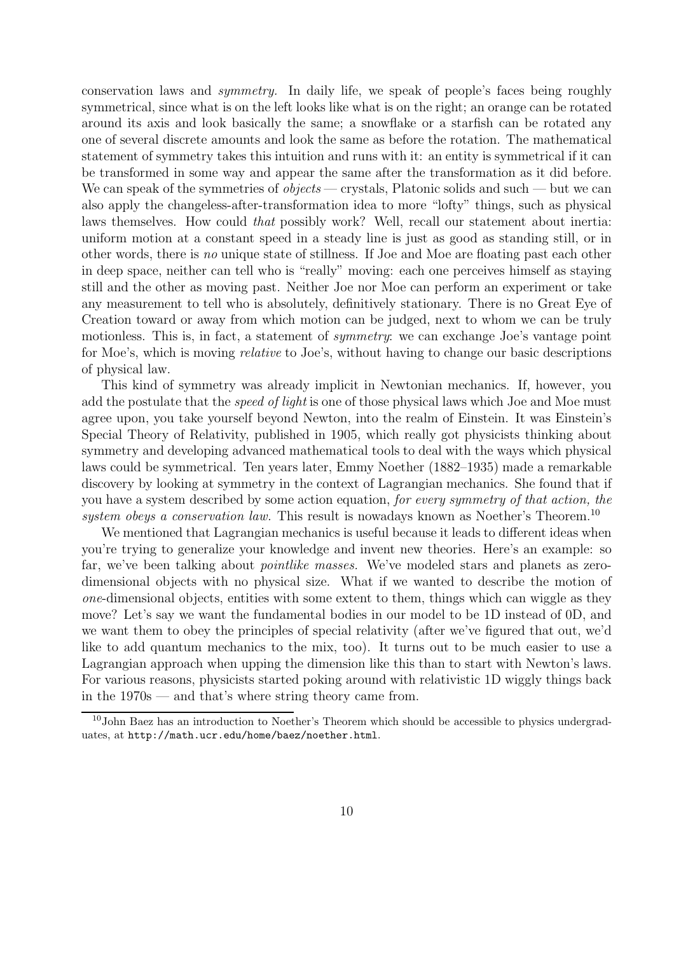conservation laws and symmetry. In daily life, we speak of people's faces being roughly symmetrical, since what is on the left looks like what is on the right; an orange can be rotated around its axis and look basically the same; a snowflake or a starfish can be rotated any one of several discrete amounts and look the same as before the rotation. The mathematical statement of symmetry takes this intuition and runs with it: an entity is symmetrical if it can be transformed in some way and appear the same after the transformation as it did before. We can speak of the symmetries of *objects* — crystals, Platonic solids and such — but we can also apply the changeless-after-transformation idea to more "lofty" things, such as physical laws themselves. How could that possibly work? Well, recall our statement about inertia: uniform motion at a constant speed in a steady line is just as good as standing still, or in other words, there is no unique state of stillness. If Joe and Moe are floating past each other in deep space, neither can tell who is "really" moving: each one perceives himself as staying still and the other as moving past. Neither Joe nor Moe can perform an experiment or take any measurement to tell who is absolutely, definitively stationary. There is no Great Eye of Creation toward or away from which motion can be judged, next to whom we can be truly motionless. This is, in fact, a statement of *symmetry*: we can exchange Joe's vantage point for Moe's, which is moving relative to Joe's, without having to change our basic descriptions of physical law.

This kind of symmetry was already implicit in Newtonian mechanics. If, however, you add the postulate that the *speed of light* is one of those physical laws which Joe and Moe must agree upon, you take yourself beyond Newton, into the realm of Einstein. It was Einstein's Special Theory of Relativity, published in 1905, which really got physicists thinking about symmetry and developing advanced mathematical tools to deal with the ways which physical laws could be symmetrical. Ten years later, Emmy Noether (1882–1935) made a remarkable discovery by looking at symmetry in the context of Lagrangian mechanics. She found that if you have a system described by some action equation, for every symmetry of that action, the system obeys a conservation law. This result is nowadays known as Noether's Theorem.<sup>10</sup>

We mentioned that Lagrangian mechanics is useful because it leads to different ideas when you're trying to generalize your knowledge and invent new theories. Here's an example: so far, we've been talking about *pointlike masses*. We've modeled stars and planets as zerodimensional objects with no physical size. What if we wanted to describe the motion of one-dimensional objects, entities with some extent to them, things which can wiggle as they move? Let's say we want the fundamental bodies in our model to be 1D instead of 0D, and we want them to obey the principles of special relativity (after we've figured that out, we'd like to add quantum mechanics to the mix, too). It turns out to be much easier to use a Lagrangian approach when upping the dimension like this than to start with Newton's laws. For various reasons, physicists started poking around with relativistic 1D wiggly things back in the 1970s — and that's where string theory came from.

 $10$ John Baez has an introduction to Noether's Theorem which should be accessible to physics undergraduates, at http://math.ucr.edu/home/baez/noether.html.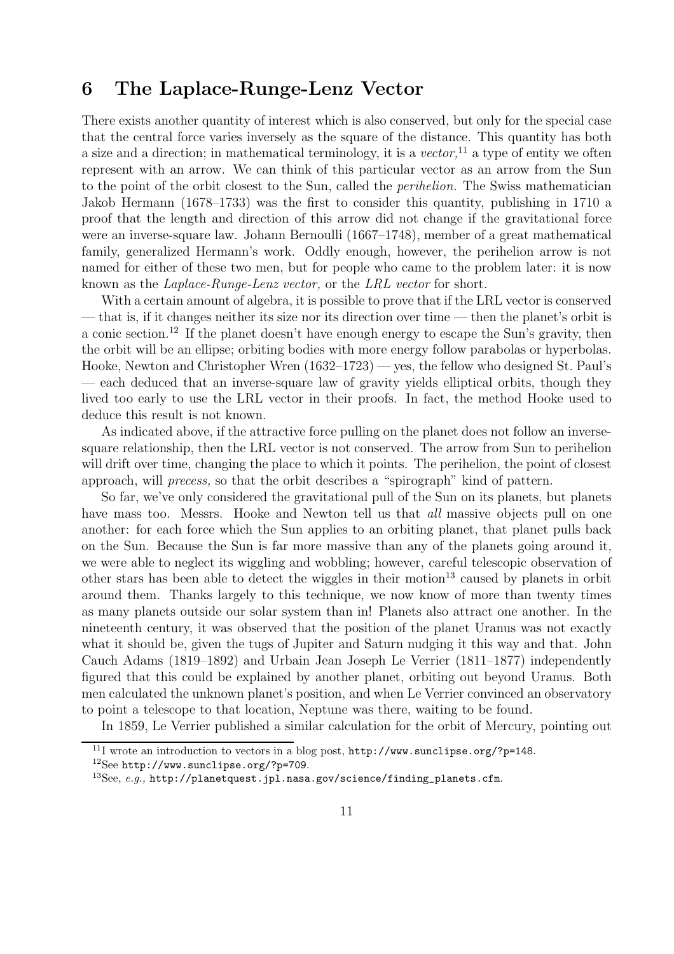### 6 The Laplace-Runge-Lenz Vector

There exists another quantity of interest which is also conserved, but only for the special case that the central force varies inversely as the square of the distance. This quantity has both a size and a direction; in mathematical terminology, it is a vector,<sup>11</sup> a type of entity we often represent with an arrow. We can think of this particular vector as an arrow from the Sun to the point of the orbit closest to the Sun, called the perihelion. The Swiss mathematician Jakob Hermann (1678–1733) was the first to consider this quantity, publishing in 1710 a proof that the length and direction of this arrow did not change if the gravitational force were an inverse-square law. Johann Bernoulli (1667–1748), member of a great mathematical family, generalized Hermann's work. Oddly enough, however, the perihelion arrow is not named for either of these two men, but for people who came to the problem later: it is now known as the Laplace-Runge-Lenz vector, or the LRL vector for short.

With a certain amount of algebra, it is possible to prove that if the LRL vector is conserved — that is, if it changes neither its size nor its direction over time — then the planet's orbit is a conic section.<sup>12</sup> If the planet doesn't have enough energy to escape the Sun's gravity, then the orbit will be an ellipse; orbiting bodies with more energy follow parabolas or hyperbolas. Hooke, Newton and Christopher Wren (1632–1723) — yes, the fellow who designed St. Paul's — each deduced that an inverse-square law of gravity yields elliptical orbits, though they lived too early to use the LRL vector in their proofs. In fact, the method Hooke used to deduce this result is not known.

As indicated above, if the attractive force pulling on the planet does not follow an inversesquare relationship, then the LRL vector is not conserved. The arrow from Sun to perihelion will drift over time, changing the place to which it points. The perihelion, the point of closest approach, will precess, so that the orbit describes a "spirograph" kind of pattern.

So far, we've only considered the gravitational pull of the Sun on its planets, but planets have mass too. Messrs. Hooke and Newton tell us that *all* massive objects pull on one another: for each force which the Sun applies to an orbiting planet, that planet pulls back on the Sun. Because the Sun is far more massive than any of the planets going around it, we were able to neglect its wiggling and wobbling; however, careful telescopic observation of other stars has been able to detect the wiggles in their motion <sup>13</sup> caused by planets in orbit around them. Thanks largely to this technique, we now know of more than twenty times as many planets outside our solar system than in! Planets also attract one another. In the nineteenth century, it was observed that the position of the planet Uranus was not exactly what it should be, given the tugs of Jupiter and Saturn nudging it this way and that. John Cauch Adams (1819–1892) and Urbain Jean Joseph Le Verrier (1811–1877) independently figured that this could be explained by another planet, orbiting out beyond Uranus. Both men calculated the unknown planet's position, and when Le Verrier convinced an observatory to point a telescope to that location, Neptune was there, waiting to be found.

In 1859, Le Verrier published a similar calculation for the orbit of Mercury, pointing out

 $\frac{11}{11}$  wrote an introduction to vectors in a blog post, http://www.sunclipse.org/?p=148.

 $12$ See http://www.sunclipse.org/?p=709.

 $13$ See, e.g., http://planetquest.jpl.nasa.gov/science/finding\_planets.cfm.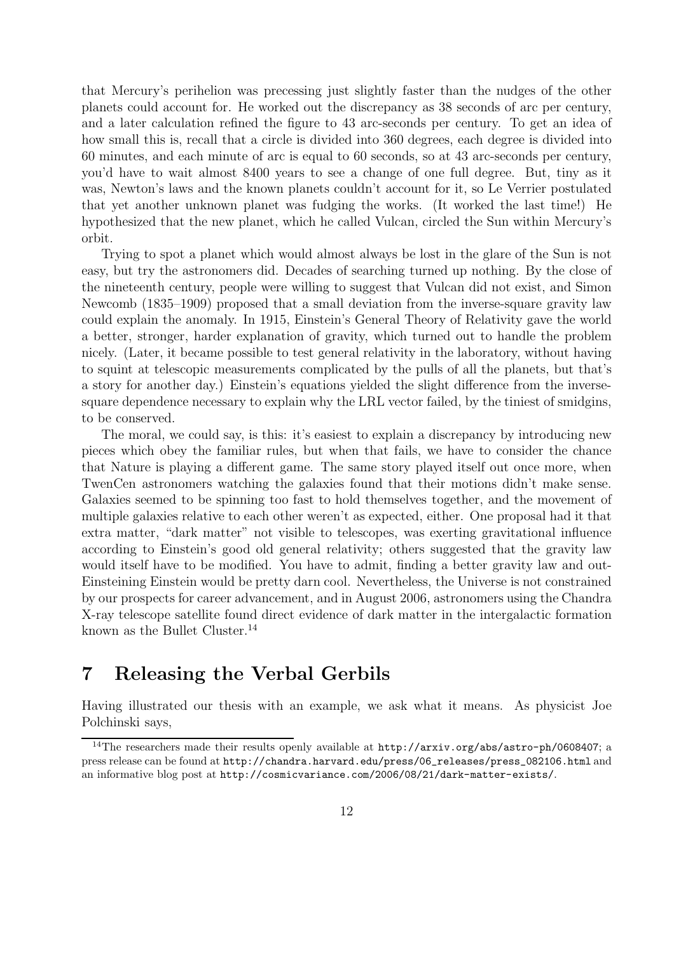that Mercury's perihelion was precessing just slightly faster than the nudges of the other planets could account for. He worked out the discrepancy as 38 seconds of arc per century, and a later calculation refined the figure to 43 arc-seconds per century. To get an idea of how small this is, recall that a circle is divided into 360 degrees, each degree is divided into 60 minutes, and each minute of arc is equal to 60 seconds, so at 43 arc-seconds per century, you'd have to wait almost 8400 years to see a change of one full degree. But, tiny as it was, Newton's laws and the known planets couldn't account for it, so Le Verrier postulated that yet another unknown planet was fudging the works. (It worked the last time!) He hypothesized that the new planet, which he called Vulcan, circled the Sun within Mercury's orbit.

Trying to spot a planet which would almost always be lost in the glare of the Sun is not easy, but try the astronomers did. Decades of searching turned up nothing. By the close of the nineteenth century, people were willing to suggest that Vulcan did not exist, and Simon Newcomb (1835–1909) proposed that a small deviation from the inverse-square gravity law could explain the anomaly. In 1915, Einstein's General Theory of Relativity gave the world a better, stronger, harder explanation of gravity, which turned out to handle the problem nicely. (Later, it became possible to test general relativity in the laboratory, without having to squint at telescopic measurements complicated by the pulls of all the planets, but that's a story for another day.) Einstein's equations yielded the slight difference from the inversesquare dependence necessary to explain why the LRL vector failed, by the tiniest of smidgins, to be conserved.

The moral, we could say, is this: it's easiest to explain a discrepancy by introducing new pieces which obey the familiar rules, but when that fails, we have to consider the chance that Nature is playing a different game. The same story played itself out once more, when TwenCen astronomers watching the galaxies found that their motions didn't make sense. Galaxies seemed to be spinning too fast to hold themselves together, and the movement of multiple galaxies relative to each other weren't as expected, either. One proposal had it that extra matter, "dark matter" not visible to telescopes, was exerting gravitational influence according to Einstein's good old general relativity; others suggested that the gravity law would itself have to be modified. You have to admit, finding a better gravity law and out-Einsteining Einstein would be pretty darn cool. Nevertheless, the Universe is not constrained by our prospects for career advancement, and in August 2006, astronomers using the Chandra X-ray telescope satellite found direct evidence of dark matter in the intergalactic formation known as the Bullet Cluster.<sup>14</sup>

# 7 Releasing the Verbal Gerbils

Having illustrated our thesis with an example, we ask what it means. As physicist Joe Polchinski says,

<sup>&</sup>lt;sup>14</sup>The researchers made their results openly available at http://arxiv.org/abs/astro-ph/0608407; a press release can be found at http://chandra.harvard.edu/press/06\_releases/press\_082106.html and an informative blog post at http://cosmicvariance.com/2006/08/21/dark-matter-exists/.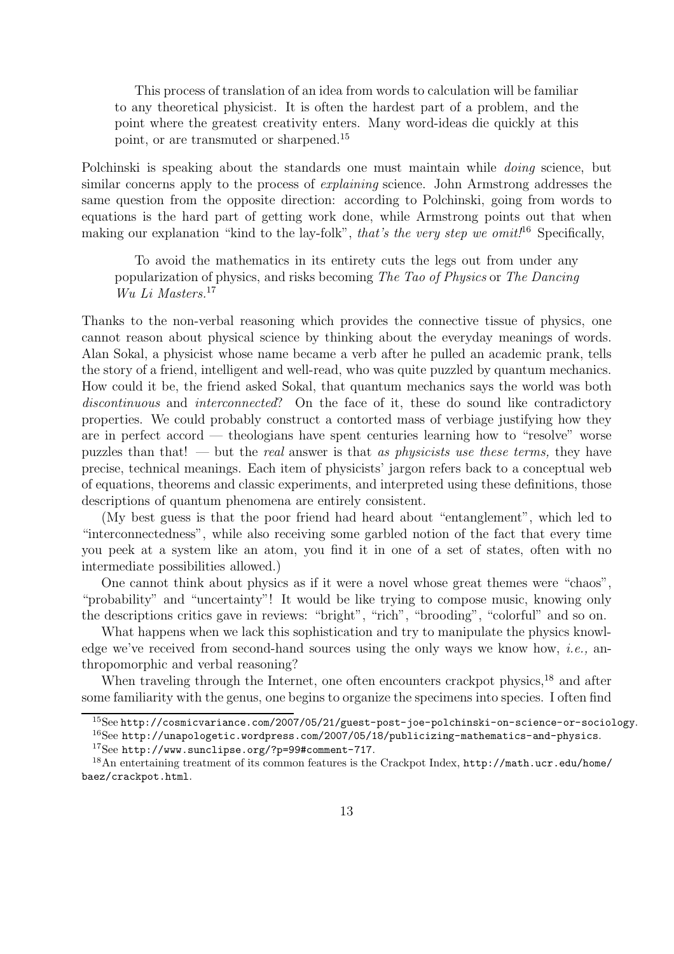This process of translation of an idea from words to calculation will be familiar to any theoretical physicist. It is often the hardest part of a problem, and the point where the greatest creativity enters. Many word-ideas die quickly at this point, or are transmuted or sharpened.<sup>15</sup>

Polchinski is speaking about the standards one must maintain while *doing* science, but similar concerns apply to the process of explaining science. John Armstrong addresses the same question from the opposite direction: according to Polchinski, going from words to equations is the hard part of getting work done, while Armstrong points out that when making our explanation "kind to the lay-folk", that's the very step we omit!<sup>16</sup> Specifically,

To avoid the mathematics in its entirety cuts the legs out from under any popularization of physics, and risks becoming The Tao of Physics or The Dancing Wu Li Masters.<sup>17</sup>

Thanks to the non-verbal reasoning which provides the connective tissue of physics, one cannot reason about physical science by thinking about the everyday meanings of words. Alan Sokal, a physicist whose name became a verb after he pulled an academic prank, tells the story of a friend, intelligent and well-read, who was quite puzzled by quantum mechanics. How could it be, the friend asked Sokal, that quantum mechanics says the world was both discontinuous and interconnected? On the face of it, these do sound like contradictory properties. We could probably construct a contorted mass of verbiage justifying how they are in perfect accord — theologians have spent centuries learning how to "resolve" worse puzzles than that! — but the *real* answer is that as *physicists use these terms*, they have precise, technical meanings. Each item of physicists' jargon refers back to a conceptual web of equations, theorems and classic experiments, and interpreted using these definitions, those descriptions of quantum phenomena are entirely consistent.

(My best guess is that the poor friend had heard about "entanglement", which led to "interconnectedness", while also receiving some garbled notion of the fact that every time you peek at a system like an atom, you find it in one of a set of states, often with no intermediate possibilities allowed.)

One cannot think about physics as if it were a novel whose great themes were "chaos", "probability" and "uncertainty"! It would be like trying to compose music, knowing only the descriptions critics gave in reviews: "bright", "rich", "brooding", "colorful" and so on.

What happens when we lack this sophistication and try to manipulate the physics knowledge we've received from second-hand sources using the only ways we know how, *i.e.*, anthropomorphic and verbal reasoning?

When traveling through the Internet, one often encounters crackpot physics, $^{18}$  and after some familiarity with the genus, one begins to organize the specimens into species. I often find

 $^{15}{\rm See}$ http://cosmicvariance.com/2007/05/21/guest-post-joe-polchinski-on-science-or-sociology.

<sup>16</sup>See http://unapologetic.wordpress.com/2007/05/18/publicizing-mathematics-and-physics.

<sup>17</sup>See http://www.sunclipse.org/?p=99#comment-717.

<sup>18</sup>An entertaining treatment of its common features is the Crackpot Index, http://math.ucr.edu/home/ baez/crackpot.html.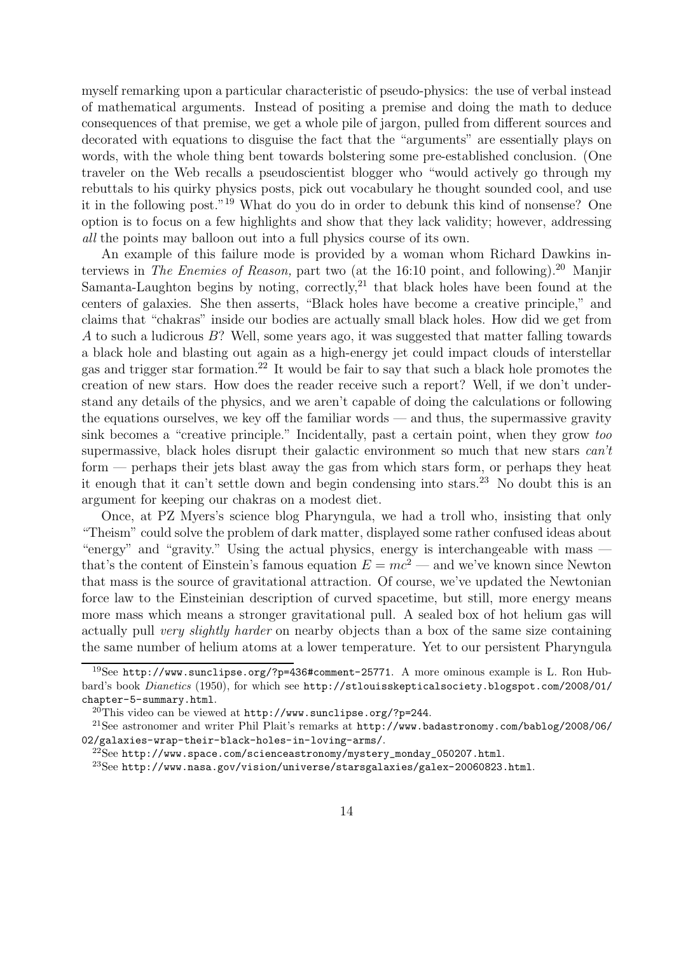myself remarking upon a particular characteristic of pseudo-physics: the use of verbal instead of mathematical arguments. Instead of positing a premise and doing the math to deduce consequences of that premise, we get a whole pile of jargon, pulled from different sources and decorated with equations to disguise the fact that the "arguments" are essentially plays on words, with the whole thing bent towards bolstering some pre-established conclusion. (One traveler on the Web recalls a pseudoscientist blogger who "would actively go through my rebuttals to his quirky physics posts, pick out vocabulary he thought sounded cool, and use it in the following post."<sup>19</sup> What do you do in order to debunk this kind of nonsense? One option is to focus on a few highlights and show that they lack validity; however, addressing all the points may balloon out into a full physics course of its own.

An example of this failure mode is provided by a woman whom Richard Dawkins interviews in The Enemies of Reason, part two (at the 16:10 point, and following).<sup>20</sup> Manjir Samanta-Laughton begins by noting, correctly,<sup>21</sup> that black holes have been found at the centers of galaxies. She then asserts, "Black holes have become a creative principle," and claims that "chakras" inside our bodies are actually small black holes. How did we get from A to such a ludicrous  $B$ ? Well, some years ago, it was suggested that matter falling towards a black hole and blasting out again as a high-energy jet could impact clouds of interstellar gas and trigger star formation.<sup>22</sup> It would be fair to say that such a black hole promotes the creation of new stars. How does the reader receive such a report? Well, if we don't understand any details of the physics, and we aren't capable of doing the calculations or following the equations ourselves, we key off the familiar words — and thus, the supermassive gravity sink becomes a "creative principle." Incidentally, past a certain point, when they grow too supermassive, black holes disrupt their galactic environment so much that new stars can't form — perhaps their jets blast away the gas from which stars form, or perhaps they heat it enough that it can't settle down and begin condensing into stars.<sup>23</sup> No doubt this is an argument for keeping our chakras on a modest diet.

Once, at PZ Myers's science blog Pharyngula, we had a troll who, insisting that only "Theism" could solve the problem of dark matter, displayed some rather confused ideas about "energy" and "gravity." Using the actual physics, energy is interchangeable with mass that's the content of Einstein's famous equation  $E = mc^2$  — and we've known since Newton that mass is the source of gravitational attraction. Of course, we've updated the Newtonian force law to the Einsteinian description of curved spacetime, but still, more energy means more mass which means a stronger gravitational pull. A sealed box of hot helium gas will actually pull very slightly harder on nearby objects than a box of the same size containing the same number of helium atoms at a lower temperature. Yet to our persistent Pharyngula

<sup>19</sup>See http://www.sunclipse.org/?p=436#comment-25771. A more ominous example is L. Ron Hubbard's book Dianetics (1950), for which see http://stlouisskepticalsociety.blogspot.com/2008/01/ chapter-5-summary.html.

 $^{20}$ This video can be viewed at http://www.sunclipse.org/?p=244.

<sup>21</sup>See astronomer and writer Phil Plait's remarks at http://www.badastronomy.com/bablog/2008/06/ 02/galaxies-wrap-their-black-holes-in-loving-arms/.

 $^{22}$ See http://www.space.com/scienceastronomy/mystery\_monday\_050207.html.

<sup>23</sup>See http://www.nasa.gov/vision/universe/starsgalaxies/galex-20060823.html.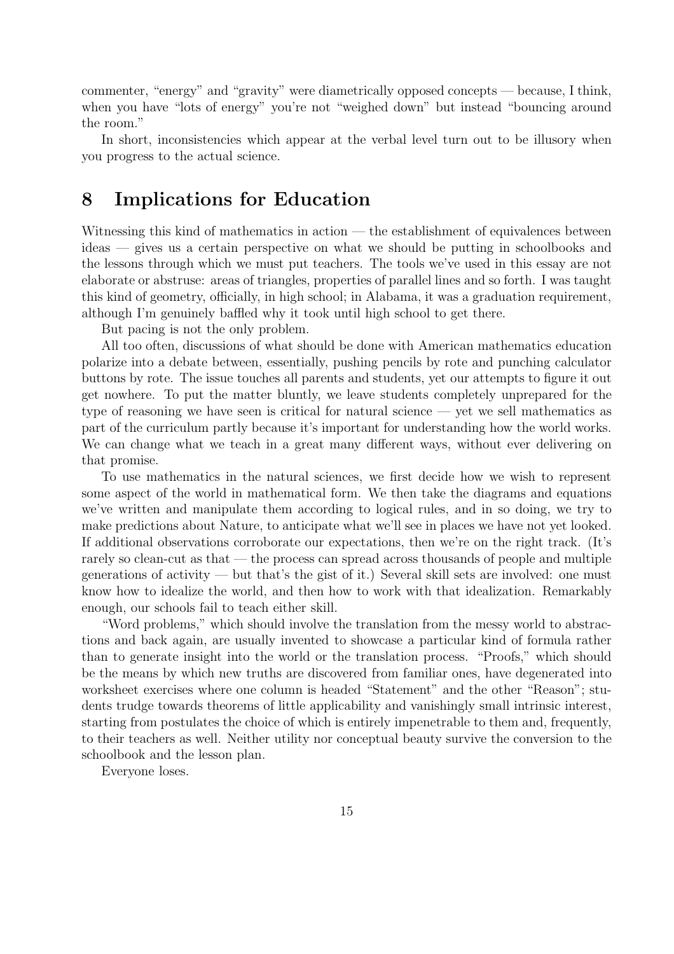commenter, "energy" and "gravity" were diametrically opposed concepts — because, I think, when you have "lots of energy" you're not "weighed down" but instead "bouncing around the room."

In short, inconsistencies which appear at the verbal level turn out to be illusory when you progress to the actual science.

## 8 Implications for Education

Witnessing this kind of mathematics in action — the establishment of equivalences between ideas — gives us a certain perspective on what we should be putting in schoolbooks and the lessons through which we must put teachers. The tools we've used in this essay are not elaborate or abstruse: areas of triangles, properties of parallel lines and so forth. I was taught this kind of geometry, officially, in high school; in Alabama, it was a graduation requirement, although I'm genuinely baffled why it took until high school to get there.

But pacing is not the only problem.

All too often, discussions of what should be done with American mathematics education polarize into a debate between, essentially, pushing pencils by rote and punching calculator buttons by rote. The issue touches all parents and students, yet our attempts to figure it out get nowhere. To put the matter bluntly, we leave students completely unprepared for the type of reasoning we have seen is critical for natural science — yet we sell mathematics as part of the curriculum partly because it's important for understanding how the world works. We can change what we teach in a great many different ways, without ever delivering on that promise.

To use mathematics in the natural sciences, we first decide how we wish to represent some aspect of the world in mathematical form. We then take the diagrams and equations we've written and manipulate them according to logical rules, and in so doing, we try to make predictions about Nature, to anticipate what we'll see in places we have not yet looked. If additional observations corroborate our expectations, then we're on the right track. (It's rarely so clean-cut as that — the process can spread across thousands of people and multiple generations of activity — but that's the gist of it.) Several skill sets are involved: one must know how to idealize the world, and then how to work with that idealization. Remarkably enough, our schools fail to teach either skill.

"Word problems," which should involve the translation from the messy world to abstractions and back again, are usually invented to showcase a particular kind of formula rather than to generate insight into the world or the translation process. "Proofs," which should be the means by which new truths are discovered from familiar ones, have degenerated into worksheet exercises where one column is headed "Statement" and the other "Reason"; students trudge towards theorems of little applicability and vanishingly small intrinsic interest, starting from postulates the choice of which is entirely impenetrable to them and, frequently, to their teachers as well. Neither utility nor conceptual beauty survive the conversion to the schoolbook and the lesson plan.

Everyone loses.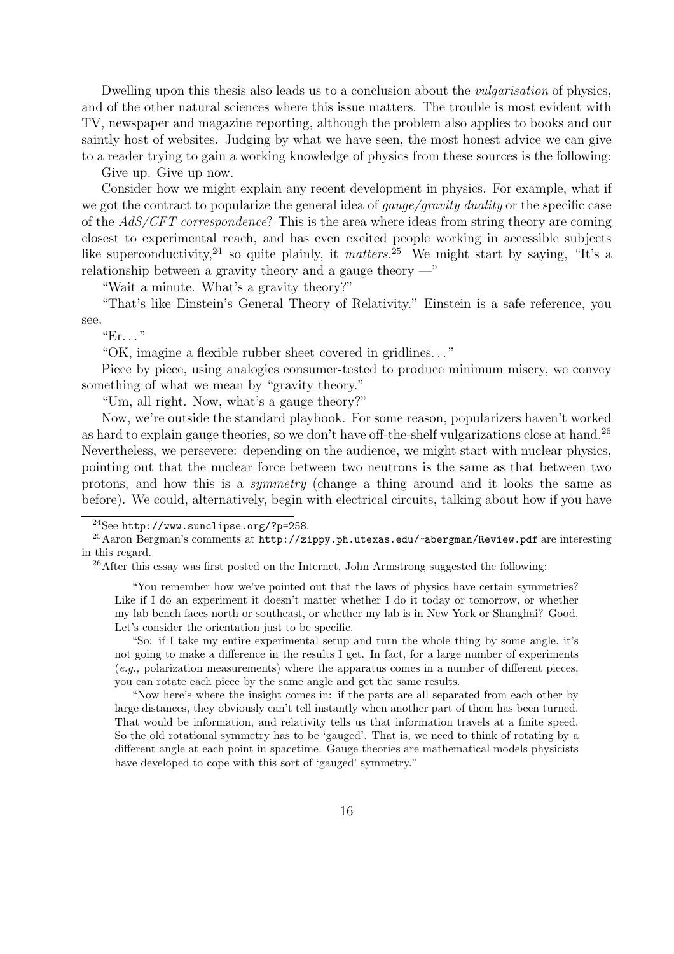Dwelling upon this thesis also leads us to a conclusion about the vulgarisation of physics, and of the other natural sciences where this issue matters. The trouble is most evident with TV, newspaper and magazine reporting, although the problem also applies to books and our saintly host of websites. Judging by what we have seen, the most honest advice we can give to a reader trying to gain a working knowledge of physics from these sources is the following:

Give up. Give up now.

Consider how we might explain any recent development in physics. For example, what if we got the contract to popularize the general idea of *gauge/gravity duality* or the specific case of the AdS/CFT correspondence? This is the area where ideas from string theory are coming closest to experimental reach, and has even excited people working in accessible subjects like superconductivity,<sup>24</sup> so quite plainly, it matters.<sup>25</sup> We might start by saying, "It's a relationship between a gravity theory and a gauge theory  $-\frac{1}{x}$ 

"Wait a minute. What's a gravity theory?"

"That's like Einstein's General Theory of Relativity." Einstein is a safe reference, you see.

 $E$ r. . . "

"OK, imagine a flexible rubber sheet covered in gridlines. . . "

Piece by piece, using analogies consumer-tested to produce minimum misery, we convey something of what we mean by "gravity theory."

"Um, all right. Now, what's a gauge theory?"

Now, we're outside the standard playbook. For some reason, popularizers haven't worked as hard to explain gauge theories, so we don't have off-the-shelf vulgarizations close at hand.<sup>26</sup> Nevertheless, we persevere: depending on the audience, we might start with nuclear physics, pointing out that the nuclear force between two neutrons is the same as that between two protons, and how this is a symmetry (change a thing around and it looks the same as before). We could, alternatively, begin with electrical circuits, talking about how if you have

"You remember how we've pointed out that the laws of physics have certain symmetries? Like if I do an experiment it doesn't matter whether I do it today or tomorrow, or whether my lab bench faces north or southeast, or whether my lab is in New York or Shanghai? Good. Let's consider the orientation just to be specific.

"So: if I take my entire experimental setup and turn the whole thing by some angle, it's not going to make a difference in the results I get. In fact, for a large number of experiments (e.g., polarization measurements) where the apparatus comes in a number of different pieces, you can rotate each piece by the same angle and get the same results.

"Now here's where the insight comes in: if the parts are all separated from each other by large distances, they obviously can't tell instantly when another part of them has been turned. That would be information, and relativity tells us that information travels at a finite speed. So the old rotational symmetry has to be 'gauged'. That is, we need to think of rotating by a different angle at each point in spacetime. Gauge theories are mathematical models physicists have developed to cope with this sort of 'gauged' symmetry."

<sup>24</sup>See http://www.sunclipse.org/?p=258.

<sup>&</sup>lt;sup>25</sup> Aaron Bergman's comments at http://zippy.ph.utexas.edu/~abergman/Review.pdf are interesting in this regard.

<sup>&</sup>lt;sup>26</sup>After this essay was first posted on the Internet, John Armstrong suggested the following: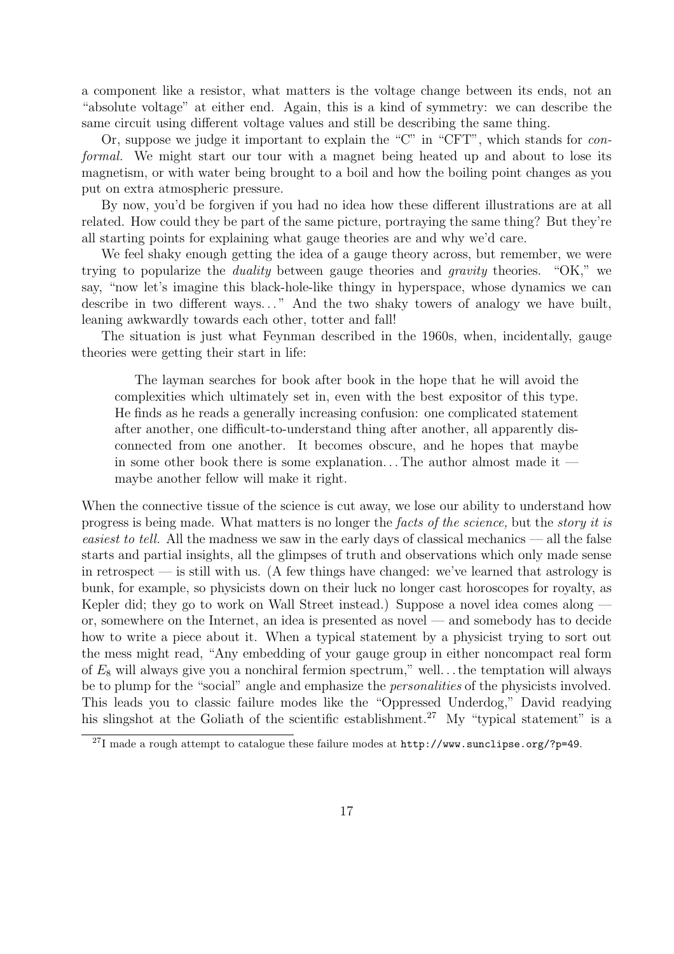a component like a resistor, what matters is the voltage change between its ends, not an "absolute voltage" at either end. Again, this is a kind of symmetry: we can describe the same circuit using different voltage values and still be describing the same thing.

Or, suppose we judge it important to explain the "C" in "CFT", which stands for conformal. We might start our tour with a magnet being heated up and about to lose its magnetism, or with water being brought to a boil and how the boiling point changes as you put on extra atmospheric pressure.

By now, you'd be forgiven if you had no idea how these different illustrations are at all related. How could they be part of the same picture, portraying the same thing? But they're all starting points for explaining what gauge theories are and why we'd care.

We feel shaky enough getting the idea of a gauge theory across, but remember, we were trying to popularize the duality between gauge theories and gravity theories. "OK," we say, "now let's imagine this black-hole-like thingy in hyperspace, whose dynamics we can describe in two different ways..." And the two shaky towers of analogy we have built, leaning awkwardly towards each other, totter and fall!

The situation is just what Feynman described in the 1960s, when, incidentally, gauge theories were getting their start in life:

The layman searches for book after book in the hope that he will avoid the complexities which ultimately set in, even with the best expositor of this type. He finds as he reads a generally increasing confusion: one complicated statement after another, one difficult-to-understand thing after another, all apparently disconnected from one another. It becomes obscure, and he hopes that maybe in some other book there is some explanation... The author almost made it  $$ maybe another fellow will make it right.

When the connective tissue of the science is cut away, we lose our ability to understand how progress is being made. What matters is no longer the facts of the science, but the story it is easiest to tell. All the madness we saw in the early days of classical mechanics — all the false starts and partial insights, all the glimpses of truth and observations which only made sense in retrospect — is still with us. (A few things have changed: we've learned that astrology is bunk, for example, so physicists down on their luck no longer cast horoscopes for royalty, as Kepler did; they go to work on Wall Street instead.) Suppose a novel idea comes along or, somewhere on the Internet, an idea is presented as novel — and somebody has to decide how to write a piece about it. When a typical statement by a physicist trying to sort out the mess might read, "Any embedding of your gauge group in either noncompact real form of  $E_8$  will always give you a nonchiral fermion spectrum," well... the temptation will always be to plump for the "social" angle and emphasize the *personalities* of the physicists involved. This leads you to classic failure modes like the "Oppressed Underdog," David readying his slingshot at the Goliath of the scientific establishment.<sup>27</sup> My "typical statement" is a

<sup>27</sup>I made a rough attempt to catalogue these failure modes at http://www.sunclipse.org/?p=49.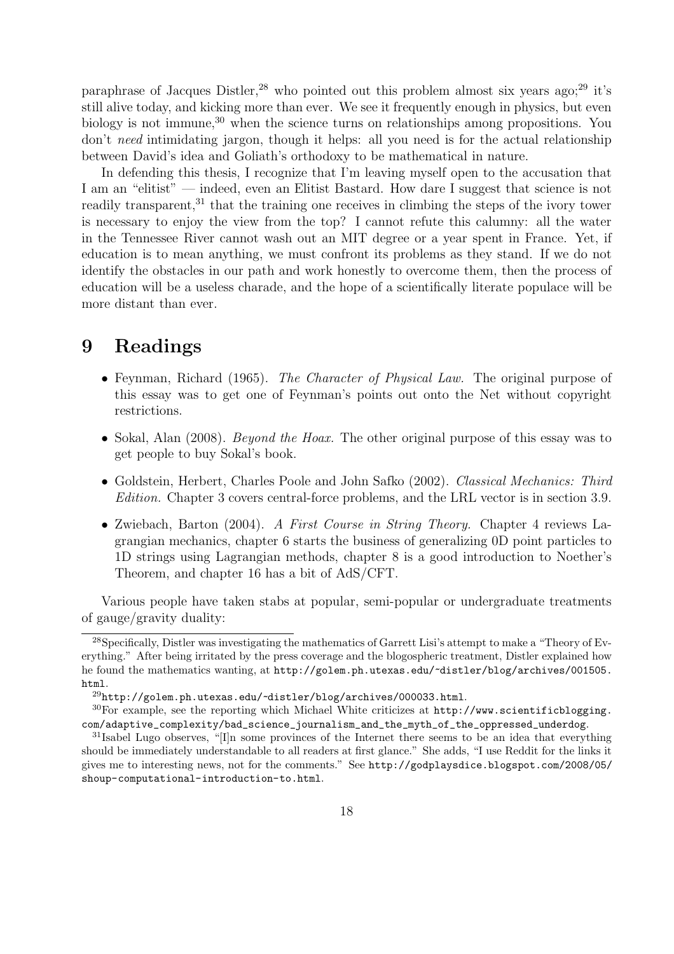paraphrase of Jacques Distler,<sup>28</sup> who pointed out this problem almost six years ago;<sup>29</sup> it's still alive today, and kicking more than ever. We see it frequently enough in physics, but even biology is not immune,<sup>30</sup> when the science turns on relationships among propositions. You don't need intimidating jargon, though it helps: all you need is for the actual relationship between David's idea and Goliath's orthodoxy to be mathematical in nature.

In defending this thesis, I recognize that I'm leaving myself open to the accusation that I am an "elitist" — indeed, even an Elitist Bastard. How dare I suggest that science is not readily transparent,<sup>31</sup> that the training one receives in climbing the steps of the ivory tower is necessary to enjoy the view from the top? I cannot refute this calumny: all the water in the Tennessee River cannot wash out an MIT degree or a year spent in France. Yet, if education is to mean anything, we must confront its problems as they stand. If we do not identify the obstacles in our path and work honestly to overcome them, then the process of education will be a useless charade, and the hope of a scientifically literate populace will be more distant than ever.

# 9 Readings

- Feynman, Richard (1965). The Character of Physical Law. The original purpose of this essay was to get one of Feynman's points out onto the Net without copyright restrictions.
- Sokal, Alan (2008). *Beyond the Hoax*. The other original purpose of this essay was to get people to buy Sokal's book.
- Goldstein, Herbert, Charles Poole and John Safko (2002). Classical Mechanics: Third Edition. Chapter 3 covers central-force problems, and the LRL vector is in section 3.9.
- Zwiebach, Barton (2004). A First Course in String Theory. Chapter 4 reviews Lagrangian mechanics, chapter 6 starts the business of generalizing 0D point particles to 1D strings using Lagrangian methods, chapter 8 is a good introduction to Noether's Theorem, and chapter 16 has a bit of AdS/CFT.

Various people have taken stabs at popular, semi-popular or undergraduate treatments of gauge/gravity duality:

<sup>&</sup>lt;sup>28</sup>Specifically, Distler was investigating the mathematics of Garrett Lisi's attempt to make a "Theory of Everything." After being irritated by the press coverage and the blogospheric treatment, Distler explained how he found the mathematics wanting, at http://golem.ph.utexas.edu/~distler/blog/archives/001505. html.

<sup>29</sup>http://golem.ph.utexas.edu/~distler/blog/archives/000033.html.

<sup>30</sup>For example, see the reporting which Michael White criticizes at http://www.scientificblogging. com/adaptive\_complexity/bad\_science\_journalism\_and\_the\_myth\_of\_the\_oppressed\_underdog.

<sup>&</sup>lt;sup>31</sup>Isabel Lugo observes, "[I]n some provinces of the Internet there seems to be an idea that everything should be immediately understandable to all readers at first glance." She adds, "I use Reddit for the links it gives me to interesting news, not for the comments." See http://godplaysdice.blogspot.com/2008/05/ shoup-computational-introduction-to.html.